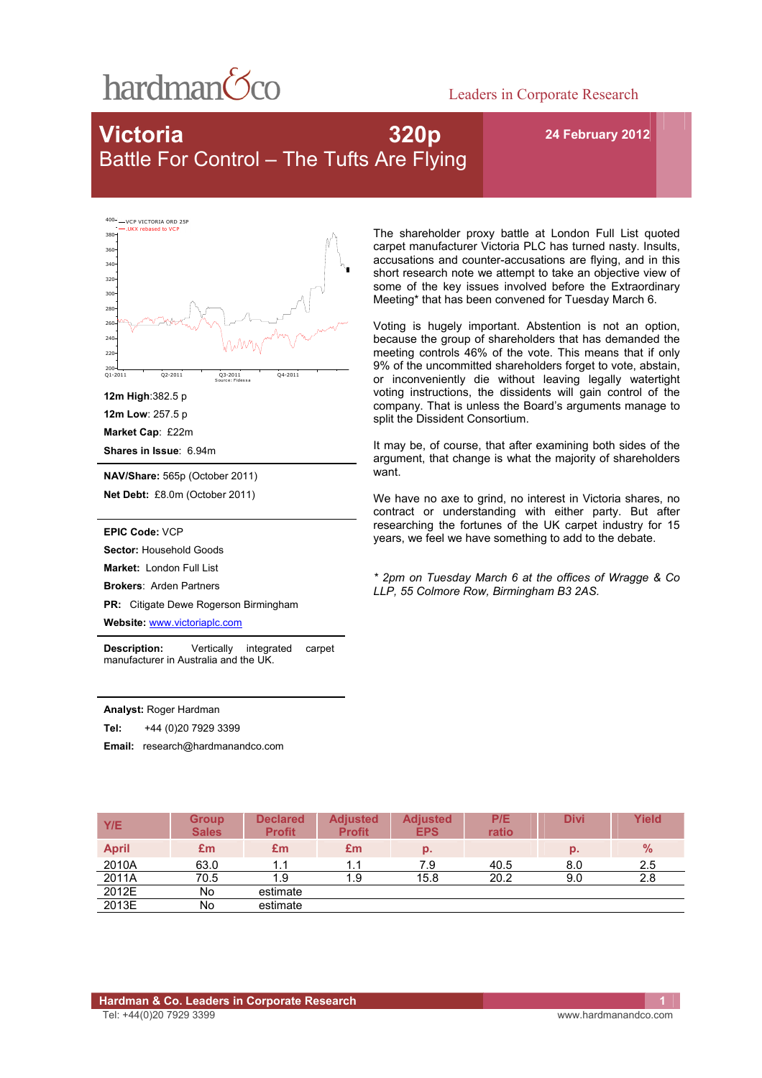

### Leaders in Corporate Research

# **Victoria 320p**  Battle For Control – The Tufts Are Flying

**24 February 2012** 

VCP VICTORIA ORD 25 .UKX rebased to VCP



Sourc e: Fides s a

**12m High**:382.5 p **12m Low**: 257.5 p **Market Cap**: £22m **Shares in Issue**: 6.94m

**NAV/Share:** 565p (October 2011)

**Net Debt:** £8.0m (October 2011)

**EPIC Code:** VCP

Sector: Household Goods

**Market:** London Full List

**Brokers**: Arden Partners

**PR:** Citigate Dewe Rogerson Birmingham

**Website:** www.victoriaplc.com

**Description:** Vertically integrated carpet manufacturer in Australia and the UK.

**Analyst:** Roger Hardman

**Tel:** +44 (0)20 7929 3399

**Email:** research@hardmanandco.com

The shareholder proxy battle at London Full List quoted carpet manufacturer Victoria PLC has turned nasty. Insults, accusations and counter-accusations are flying, and in this short research note we attempt to take an objective view of some of the key issues involved before the Extraordinary Meeting\* that has been convened for Tuesday March 6.

Voting is hugely important. Abstention is not an option, because the group of shareholders that has demanded the meeting controls 46% of the vote. This means that if only 9% of the uncommitted shareholders forget to vote, abstain, or inconveniently die without leaving legally watertight voting instructions, the dissidents will gain control of the company. That is unless the Board's arguments manage to split the Dissident Consortium.

It may be, of course, that after examining both sides of the argument, that change is what the majority of shareholders want.

We have no axe to grind, no interest in Victoria shares, no contract or understanding with either party. But after researching the fortunes of the UK carpet industry for 15 years, we feel we have something to add to the debate.

*\* 2pm on Tuesday March 6 at the offices of Wragge & Co LLP, 55 Colmore Row, Birmingham B3 2AS.* 

| Y/E          | <b>Group</b><br><b>Sales</b> | <b>Declared</b><br><b>Profit</b> | <b>Adjusted</b><br><b>Profit</b> | <b>Adjusted</b><br><b>EPS</b> | P/E<br>ratio | <b>Divi</b> | Yield         |
|--------------|------------------------------|----------------------------------|----------------------------------|-------------------------------|--------------|-------------|---------------|
| <b>April</b> | £m                           | Em                               | £m                               | p.                            |              | p.          | $\frac{9}{6}$ |
| 2010A        | 63.0                         | 1.1                              | 1.1                              | 7.9                           | 40.5         | 8.0         | 2.5           |
| 2011A        | 70.5                         | 1.9                              | 1.9                              | 15.8                          | 20.2         | 9.0         | 2.8           |
| 2012E        | No                           | estimate                         |                                  |                               |              |             |               |
| 2013E        | No                           | estimate                         |                                  |                               |              |             |               |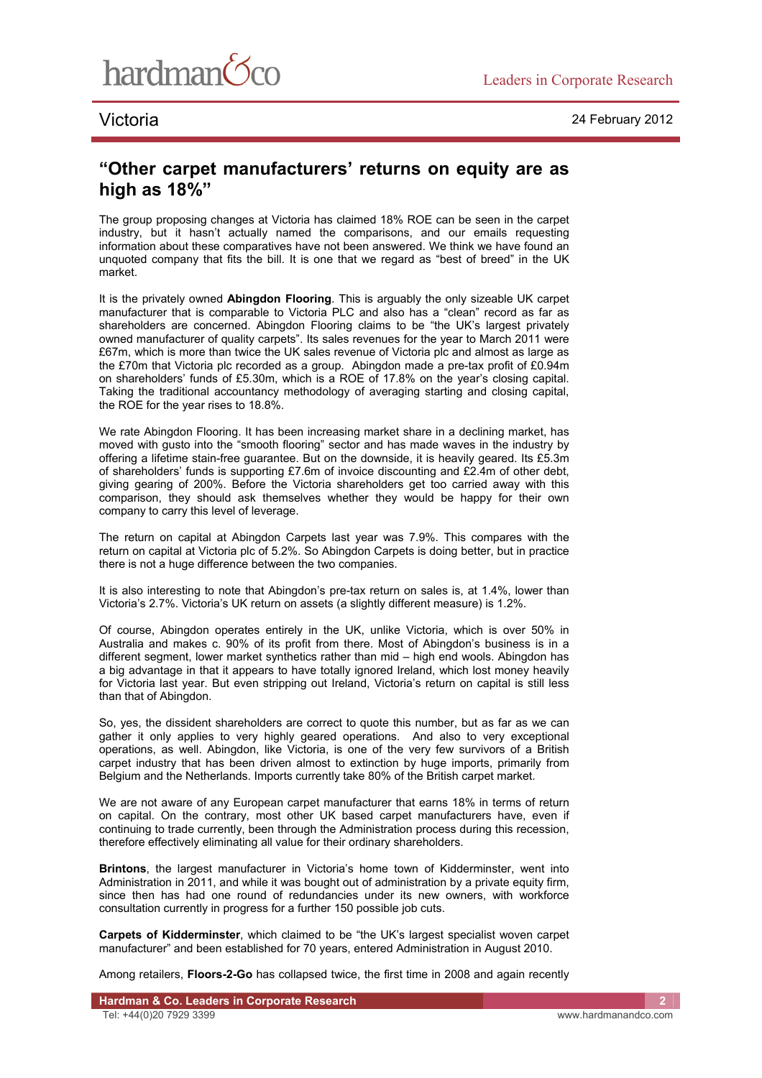

## **"Other carpet manufacturers' returns on equity are as high as 18%"**

The group proposing changes at Victoria has claimed 18% ROE can be seen in the carpet industry, but it hasn't actually named the comparisons, and our emails requesting information about these comparatives have not been answered. We think we have found an unquoted company that fits the bill. It is one that we regard as "best of breed" in the UK market.

It is the privately owned **Abingdon Flooring**. This is arguably the only sizeable UK carpet manufacturer that is comparable to Victoria PLC and also has a "clean" record as far as shareholders are concerned. Abingdon Flooring claims to be "the UK's largest privately owned manufacturer of quality carpets". Its sales revenues for the year to March 2011 were £67m, which is more than twice the UK sales revenue of Victoria plc and almost as large as the £70m that Victoria plc recorded as a group. Abingdon made a pre-tax profit of £0.94m on shareholders' funds of £5.30m, which is a ROE of 17.8% on the year's closing capital. Taking the traditional accountancy methodology of averaging starting and closing capital, the ROE for the year rises to 18.8%.

We rate Abingdon Flooring. It has been increasing market share in a declining market, has moved with gusto into the "smooth flooring" sector and has made waves in the industry by offering a lifetime stain-free guarantee. But on the downside, it is heavily geared. Its £5.3m of shareholders' funds is supporting £7.6m of invoice discounting and £2.4m of other debt, giving gearing of 200%. Before the Victoria shareholders get too carried away with this comparison, they should ask themselves whether they would be happy for their own company to carry this level of leverage.

The return on capital at Abingdon Carpets last year was 7.9%. This compares with the return on capital at Victoria plc of 5.2%. So Abingdon Carpets is doing better, but in practice there is not a huge difference between the two companies.

It is also interesting to note that Abingdon's pre-tax return on sales is, at 1.4%, lower than Victoria's 2.7%. Victoria's UK return on assets (a slightly different measure) is 1.2%.

Of course, Abingdon operates entirely in the UK, unlike Victoria, which is over 50% in Australia and makes c. 90% of its profit from there. Most of Abingdon's business is in a different segment, lower market synthetics rather than mid – high end wools. Abingdon has a big advantage in that it appears to have totally ignored Ireland, which lost money heavily for Victoria last year. But even stripping out Ireland, Victoria's return on capital is still less than that of Abingdon.

So, yes, the dissident shareholders are correct to quote this number, but as far as we can gather it only applies to very highly geared operations. And also to very exceptional operations, as well. Abingdon, like Victoria, is one of the very few survivors of a British carpet industry that has been driven almost to extinction by huge imports, primarily from Belgium and the Netherlands. Imports currently take 80% of the British carpet market.

We are not aware of any European carpet manufacturer that earns 18% in terms of return on capital. On the contrary, most other UK based carpet manufacturers have, even if continuing to trade currently, been through the Administration process during this recession, therefore effectively eliminating all value for their ordinary shareholders.

**Brintons**, the largest manufacturer in Victoria's home town of Kidderminster, went into Administration in 2011, and while it was bought out of administration by a private equity firm, since then has had one round of redundancies under its new owners, with workforce consultation currently in progress for a further 150 possible job cuts.

**Carpets of Kidderminster**, which claimed to be "the UK's largest specialist woven carpet manufacturer" and been established for 70 years, entered Administration in August 2010.

Among retailers, **Floors-2-Go** has collapsed twice, the first time in 2008 and again recently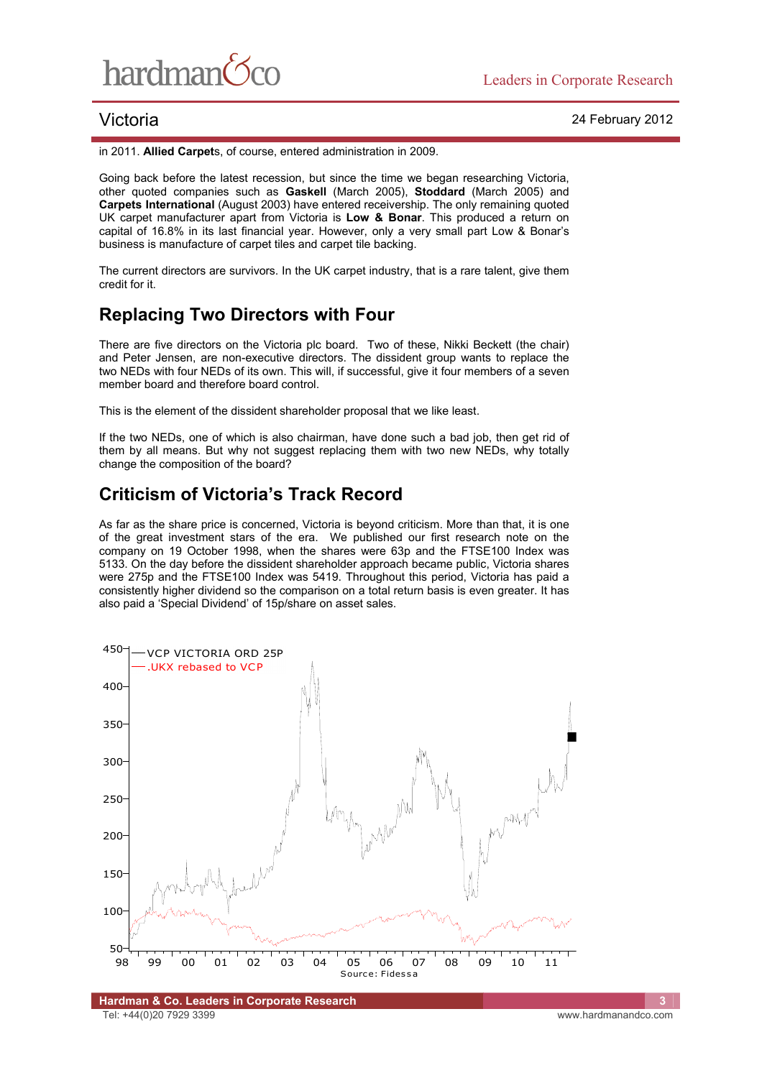

in 2011. **Allied Carpet**s, of course, entered administration in 2009.

Going back before the latest recession, but since the time we began researching Victoria, other quoted companies such as **Gaskell** (March 2005), **Stoddard** (March 2005) and **Carpets International** (August 2003) have entered receivership. The only remaining quoted UK carpet manufacturer apart from Victoria is **Low & Bonar**. This produced a return on capital of 16.8% in its last financial year. However, only a very small part Low & Bonar's business is manufacture of carpet tiles and carpet tile backing.

The current directors are survivors. In the UK carpet industry, that is a rare talent, give them credit for it.

# **Replacing Two Directors with Four**

There are five directors on the Victoria plc board. Two of these, Nikki Beckett (the chair) and Peter Jensen, are non-executive directors. The dissident group wants to replace the two NEDs with four NEDs of its own. This will, if successful, give it four members of a seven member board and therefore board control.

This is the element of the dissident shareholder proposal that we like least.

If the two NEDs, one of which is also chairman, have done such a bad job, then get rid of them by all means. But why not suggest replacing them with two new NEDs, why totally change the composition of the board?

# **Criticism of Victoria's Track Record**

As far as the share price is concerned, Victoria is beyond criticism. More than that, it is one of the great investment stars of the era. We published our first research note on the company on 19 October 1998, when the shares were 63p and the FTSE100 Index was 5133. On the day before the dissident shareholder approach became public, Victoria shares were 275p and the FTSE100 Index was 5419. Throughout this period, Victoria has paid a consistently higher dividend so the comparison on a total return basis is even greater. It has also paid a 'Special Dividend' of 15p/share on asset sales.

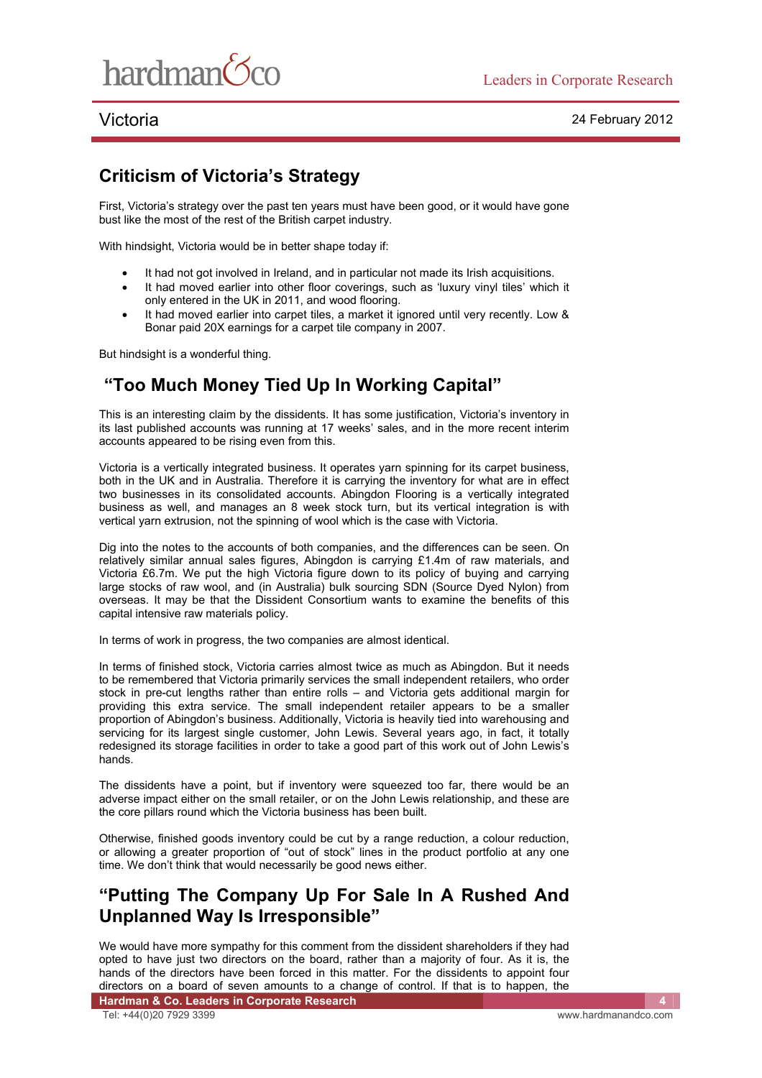

# **Criticism of Victoria's Strategy**

First, Victoria's strategy over the past ten years must have been good, or it would have gone bust like the most of the rest of the British carpet industry.

With hindsight, Victoria would be in better shape today if:

- It had not got involved in Ireland, and in particular not made its Irish acquisitions.
- It had moved earlier into other floor coverings, such as 'luxury vinyl tiles' which it only entered in the UK in 2011, and wood flooring.
- It had moved earlier into carpet tiles, a market it ignored until very recently. Low & Bonar paid 20X earnings for a carpet tile company in 2007.

But hindsight is a wonderful thing.

# **"Too Much Money Tied Up In Working Capital"**

This is an interesting claim by the dissidents. It has some justification, Victoria's inventory in its last published accounts was running at 17 weeks' sales, and in the more recent interim accounts appeared to be rising even from this.

Victoria is a vertically integrated business. It operates yarn spinning for its carpet business, both in the UK and in Australia. Therefore it is carrying the inventory for what are in effect two businesses in its consolidated accounts. Abingdon Flooring is a vertically integrated business as well, and manages an 8 week stock turn, but its vertical integration is with vertical yarn extrusion, not the spinning of wool which is the case with Victoria.

Dig into the notes to the accounts of both companies, and the differences can be seen. On relatively similar annual sales figures, Abingdon is carrying £1.4m of raw materials, and Victoria £6.7m. We put the high Victoria figure down to its policy of buying and carrying large stocks of raw wool, and (in Australia) bulk sourcing SDN (Source Dyed Nylon) from overseas. It may be that the Dissident Consortium wants to examine the benefits of this capital intensive raw materials policy.

In terms of work in progress, the two companies are almost identical.

In terms of finished stock, Victoria carries almost twice as much as Abingdon. But it needs to be remembered that Victoria primarily services the small independent retailers, who order stock in pre-cut lengths rather than entire rolls – and Victoria gets additional margin for providing this extra service. The small independent retailer appears to be a smaller proportion of Abingdon's business. Additionally, Victoria is heavily tied into warehousing and servicing for its largest single customer, John Lewis. Several years ago, in fact, it totally redesigned its storage facilities in order to take a good part of this work out of John Lewis's hands.

The dissidents have a point, but if inventory were squeezed too far, there would be an adverse impact either on the small retailer, or on the John Lewis relationship, and these are the core pillars round which the Victoria business has been built.

Otherwise, finished goods inventory could be cut by a range reduction, a colour reduction, or allowing a greater proportion of "out of stock" lines in the product portfolio at any one time. We don't think that would necessarily be good news either.

# **"Putting The Company Up For Sale In A Rushed And Unplanned Way Is Irresponsible"**

We would have more sympathy for this comment from the dissident shareholders if they had opted to have just two directors on the board, rather than a majority of four. As it is, the hands of the directors have been forced in this matter. For the dissidents to appoint four directors on a board of seven amounts to a change of control. If that is to happen, the

**Hardman & Co. Leaders in Corporate Research** Tel: +44(0)20 7929 3399 www.hardmanandco.com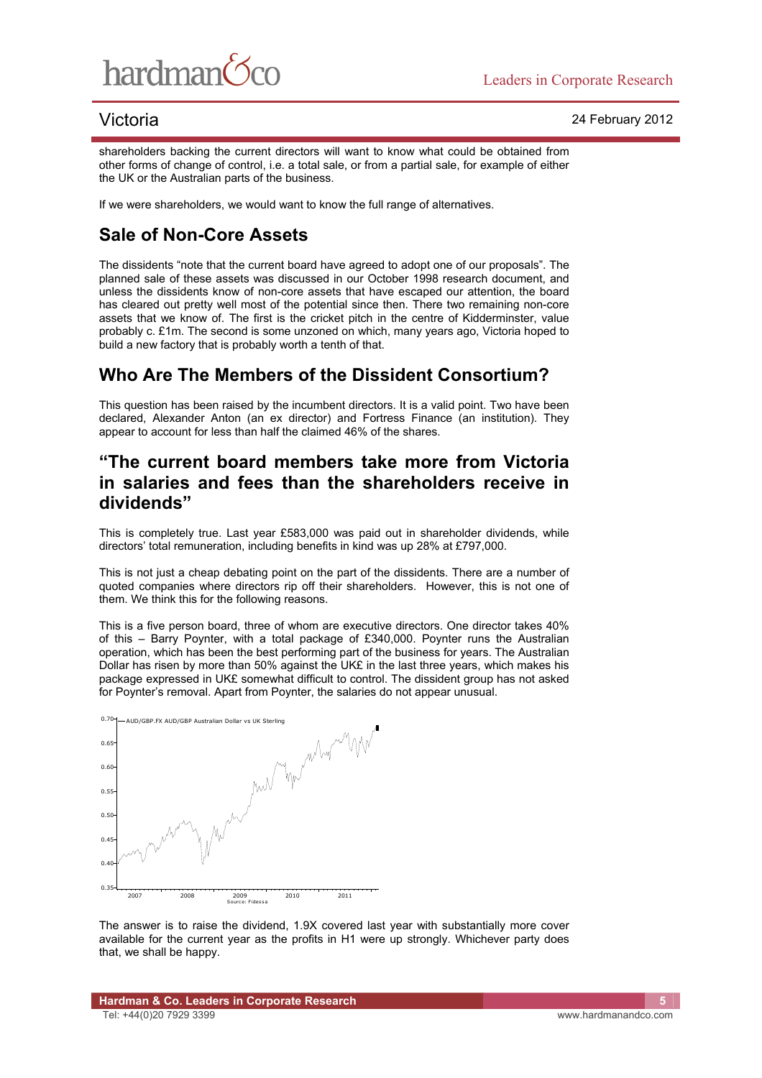

shareholders backing the current directors will want to know what could be obtained from other forms of change of control, i.e. a total sale, or from a partial sale, for example of either the UK or the Australian parts of the business.

If we were shareholders, we would want to know the full range of alternatives.

# **Sale of Non-Core Assets**

The dissidents "note that the current board have agreed to adopt one of our proposals". The planned sale of these assets was discussed in our October 1998 research document, and unless the dissidents know of non-core assets that have escaped our attention, the board has cleared out pretty well most of the potential since then. There two remaining non-core assets that we know of. The first is the cricket pitch in the centre of Kidderminster, value probably c. £1m. The second is some unzoned on which, many years ago, Victoria hoped to build a new factory that is probably worth a tenth of that.

## **Who Are The Members of the Dissident Consortium?**

This question has been raised by the incumbent directors. It is a valid point. Two have been declared, Alexander Anton (an ex director) and Fortress Finance (an institution). They appear to account for less than half the claimed 46% of the shares.

## **"The current board members take more from Victoria in salaries and fees than the shareholders receive in dividends"**

This is completely true. Last year £583,000 was paid out in shareholder dividends, while directors' total remuneration, including benefits in kind was up 28% at £797,000.

This is not just a cheap debating point on the part of the dissidents. There are a number of quoted companies where directors rip off their shareholders. However, this is not one of them. We think this for the following reasons.

This is a five person board, three of whom are executive directors. One director takes 40% of this – Barry Poynter, with a total package of £340,000. Poynter runs the Australian operation, which has been the best performing part of the business for years. The Australian Dollar has risen by more than 50% against the UK£ in the last three years, which makes his package expressed in UK£ somewhat difficult to control. The dissident group has not asked for Poynter's removal. Apart from Poynter, the salaries do not appear unusual.



The answer is to raise the dividend, 1.9X covered last year with substantially more cover available for the current year as the profits in H1 were up strongly. Whichever party does that, we shall be happy.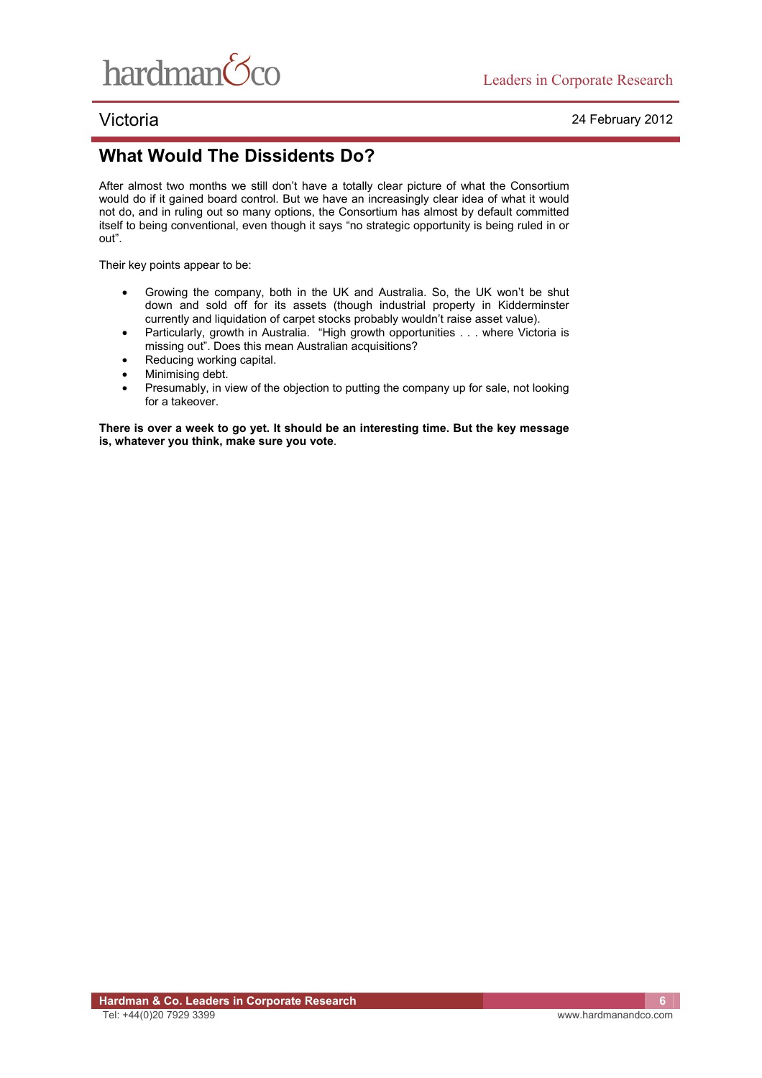

## **What Would The Dissidents Do?**

After almost two months we still don't have a totally clear picture of what the Consortium would do if it gained board control. But we have an increasingly clear idea of what it would not do, and in ruling out so many options, the Consortium has almost by default committed itself to being conventional, even though it says "no strategic opportunity is being ruled in or out".

Their key points appear to be:

- Growing the company, both in the UK and Australia. So, the UK won't be shut down and sold off for its assets (though industrial property in Kidderminster currently and liquidation of carpet stocks probably wouldn't raise asset value).
- Particularly, growth in Australia. "High growth opportunities . . . where Victoria is missing out". Does this mean Australian acquisitions?
- Reducing working capital.
- Minimising debt.
- Presumably, in view of the objection to putting the company up for sale, not looking for a takeover.

**There is over a week to go yet. It should be an interesting time. But the key message is, whatever you think, make sure you vote**.